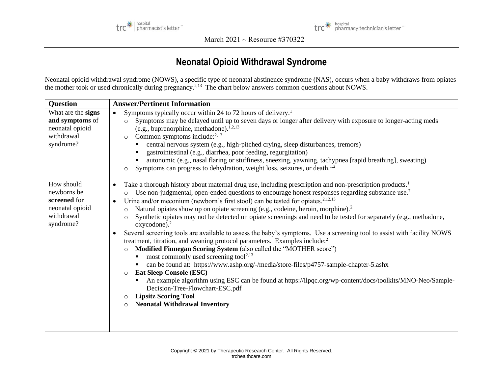



March 2021 ~ Resource #370322

## **Neonatal Opioid Withdrawal Syndrome**

Neonatal opioid withdrawal syndrome (NOWS), a specific type of neonatal abstinence syndrome (NAS), occurs when a baby withdraws from opiates the mother took or used chronically during pregnancy.<sup>2,13</sup> The chart below answers common questions about NOWS.

| <b>Question</b>                                                                         | <b>Answer/Pertinent Information</b>                                                                                                                                                                                                                                                                                                                                                                                                                                                                                                                                                                                                                                                                                                                                                                                                                                                                                                                                                                                                                                                                                                                                                                                                                                                                                                                                                                                         |  |  |
|-----------------------------------------------------------------------------------------|-----------------------------------------------------------------------------------------------------------------------------------------------------------------------------------------------------------------------------------------------------------------------------------------------------------------------------------------------------------------------------------------------------------------------------------------------------------------------------------------------------------------------------------------------------------------------------------------------------------------------------------------------------------------------------------------------------------------------------------------------------------------------------------------------------------------------------------------------------------------------------------------------------------------------------------------------------------------------------------------------------------------------------------------------------------------------------------------------------------------------------------------------------------------------------------------------------------------------------------------------------------------------------------------------------------------------------------------------------------------------------------------------------------------------------|--|--|
| What are the signs<br>and symptoms of<br>neonatal opioid<br>withdrawal<br>syndrome?     | Symptoms typically occur within 24 to 72 hours of delivery. <sup>1</sup><br>$\bullet$<br>Symptoms may be delayed until up to seven days or longer after delivery with exposure to longer-acting meds<br>$\circ$<br>(e.g., buprenorphine, methadone). $1,2,13$<br>Common symptoms include: <sup>2,13</sup><br>$\circ$<br>central nervous system (e.g., high-pitched crying, sleep disturbances, tremors)<br>gastrointestinal (e.g., diarrhea, poor feeding, regurgitation)<br>autonomic (e.g., nasal flaring or stuffiness, sneezing, yawning, tachypnea [rapid breathing], sweating)<br>Symptoms can progress to dehydration, weight loss, seizures, or death. <sup>1,2</sup><br>$\circ$                                                                                                                                                                                                                                                                                                                                                                                                                                                                                                                                                                                                                                                                                                                                    |  |  |
| How should<br>newborns be<br>screened for<br>neonatal opioid<br>withdrawal<br>syndrome? | Take a thorough history about maternal drug use, including prescription and non-prescription products. <sup>1</sup><br>$\bullet$<br>Use non-judgmental, open-ended questions to encourage honest responses regarding substance use. <sup>7</sup><br>$\circ$<br>Urine and/or meconium (newborn's first stool) can be tested for opiates. <sup>2,12,13</sup><br>$\bullet$<br>Natural opiates show up on opiate screening (e.g., codeine, heroin, morphine). <sup>2</sup><br>$\circ$<br>Synthetic opiates may not be detected on opiate screenings and need to be tested for separately (e.g., methadone,<br>$\circ$<br>$oxycodone$ ). <sup>2</sup><br>Several screening tools are available to assess the baby's symptoms. Use a screening tool to assist with facility NOWS<br>$\bullet$<br>treatment, titration, and weaning protocol parameters. Examples include: <sup>2</sup><br>Modified Finnegan Scoring System (also called the "MOTHER score")<br>$\circ$<br>most commonly used screening tool <sup>2,13</sup><br>$\blacksquare$<br>can be found at: https://www.ashp.org/-/media/store-files/p4757-sample-chapter-5.ashx<br><b>Eat Sleep Console (ESC)</b><br>$\Omega$<br>An example algorithm using ESC can be found at https://ilpqc.org/wp-content/docs/toolkits/MNO-Neo/Sample-<br>Decision-Tree-Flowchart-ESC.pdf<br><b>Lipsitz Scoring Tool</b><br>$\circ$<br><b>Neonatal Withdrawal Inventory</b><br>$\circ$ |  |  |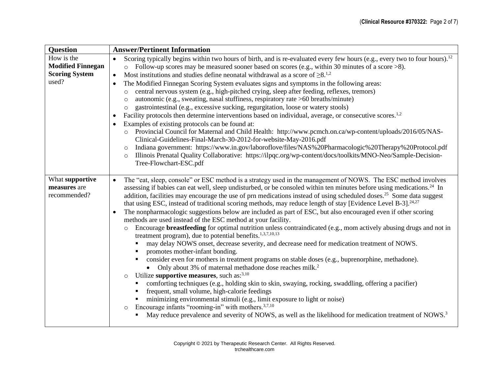| <b>Question</b>                                 | <b>Answer/Pertinent Information</b>                                                                                                                                                                                                                                                                                                                                                                |  |  |
|-------------------------------------------------|----------------------------------------------------------------------------------------------------------------------------------------------------------------------------------------------------------------------------------------------------------------------------------------------------------------------------------------------------------------------------------------------------|--|--|
| How is the                                      | Scoring typically begins within two hours of birth, and is re-evaluated every few hours (e.g., every two to four hours). <sup>12</sup><br>$\bullet$                                                                                                                                                                                                                                                |  |  |
| <b>Modified Finnegan</b>                        | $\circ$ Follow-up scores may be measured sooner based on scores (e.g., within 30 minutes of a score >8).                                                                                                                                                                                                                                                                                           |  |  |
| <b>Scoring System</b>                           | Most institutions and studies define neonatal withdrawal as a score of $\geq 8$ . <sup>1,2</sup><br>$\bullet$                                                                                                                                                                                                                                                                                      |  |  |
| used?                                           | The Modified Finnegan Scoring System evaluates signs and symptoms in the following areas:<br>$\bullet$                                                                                                                                                                                                                                                                                             |  |  |
|                                                 | central nervous system (e.g., high-pitched crying, sleep after feeding, reflexes, tremors)<br>$\circ$                                                                                                                                                                                                                                                                                              |  |  |
|                                                 | autonomic (e.g., sweating, nasal stuffiness, respiratory rate >60 breaths/minute)<br>$\circ$                                                                                                                                                                                                                                                                                                       |  |  |
|                                                 | gastrointestinal (e.g., excessive sucking, regurgitation, loose or watery stools)<br>$\circ$                                                                                                                                                                                                                                                                                                       |  |  |
|                                                 | Facility protocols then determine interventions based on individual, average, or consecutive scores. <sup>1,2</sup>                                                                                                                                                                                                                                                                                |  |  |
|                                                 | Examples of existing protocols can be found at:                                                                                                                                                                                                                                                                                                                                                    |  |  |
|                                                 | Provincial Council for Maternal and Child Health: http://www.pcmch.on.ca/wp-content/uploads/2016/05/NAS-<br>$\circ$<br>Clinical-Guidelines-Final-March-30-2012-for-website-May-2016.pdf                                                                                                                                                                                                            |  |  |
|                                                 | Indiana government: https://www.in.gov/laboroflove/files/NAS%20Pharmacologic%20Therapy%20Protocol.pdf<br>$\circ$                                                                                                                                                                                                                                                                                   |  |  |
|                                                 | Illinois Prenatal Quality Collaborative: https://ilpqc.org/wp-content/docs/toolkits/MNO-Neo/Sample-Decision-<br>$\circ$                                                                                                                                                                                                                                                                            |  |  |
|                                                 | Tree-Flowchart-ESC.pdf                                                                                                                                                                                                                                                                                                                                                                             |  |  |
|                                                 |                                                                                                                                                                                                                                                                                                                                                                                                    |  |  |
| What supportive<br>measures are<br>recommended? | The "eat, sleep, console" or ESC method is a strategy used in the management of NOWS. The ESC method involves<br>$\bullet$<br>assessing if babies can eat well, sleep undisturbed, or be consoled within ten minutes before using medications. <sup>24</sup> In<br>addition, facilities may encourage the use of prn medications instead of using scheduled doses. <sup>25</sup> Some data suggest |  |  |
|                                                 | that using ESC, instead of traditional scoring methods, may reduce length of stay [Evidence Level B-3]. <sup>24,27</sup>                                                                                                                                                                                                                                                                           |  |  |
|                                                 | The nonpharmacologic suggestions below are included as part of ESC, but also encouraged even if other scoring<br>$\bullet$<br>methods are used instead of the ESC method at your facility.                                                                                                                                                                                                         |  |  |
|                                                 | Encourage <b>breastfeeding</b> for optimal nutrition unless contraindicated (e.g., mom actively abusing drugs and not in<br>$\circ$<br>treatment program), due to potential benefits. $1,3,7,10,13$                                                                                                                                                                                                |  |  |
|                                                 | may delay NOWS onset, decrease severity, and decrease need for medication treatment of NOWS.                                                                                                                                                                                                                                                                                                       |  |  |
|                                                 | promotes mother-infant bonding.                                                                                                                                                                                                                                                                                                                                                                    |  |  |
|                                                 | consider even for mothers in treatment programs on stable doses (e.g., buprenorphine, methadone).<br>٠                                                                                                                                                                                                                                                                                             |  |  |
|                                                 | Only about 3% of maternal methadone dose reaches milk. <sup>2</sup>                                                                                                                                                                                                                                                                                                                                |  |  |
|                                                 | Utilize supportive measures, such as: $3,10$<br>$\circ$                                                                                                                                                                                                                                                                                                                                            |  |  |
|                                                 | comforting techniques (e.g., holding skin to skin, swaying, rocking, swaddling, offering a pacifier)<br>frequent, small volume, high-calorie feedings                                                                                                                                                                                                                                              |  |  |
|                                                 | minimizing environmental stimuli (e.g., limit exposure to light or noise)                                                                                                                                                                                                                                                                                                                          |  |  |
|                                                 | Encourage infants "rooming-in" with mothers. <sup>3,7,10</sup><br>$\circ$                                                                                                                                                                                                                                                                                                                          |  |  |
|                                                 | May reduce prevalence and severity of NOWS, as well as the likelihood for medication treatment of NOWS. <sup>3</sup>                                                                                                                                                                                                                                                                               |  |  |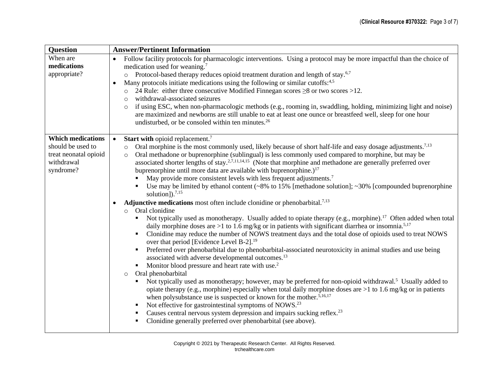| <b>Question</b>          | <b>Answer/Pertinent Information</b>                                                                                                                                                                                                         |  |  |
|--------------------------|---------------------------------------------------------------------------------------------------------------------------------------------------------------------------------------------------------------------------------------------|--|--|
| When are                 | Follow facility protocols for pharmacologic interventions. Using a protocol may be more impactful than the choice of<br>$\bullet$                                                                                                           |  |  |
| medications              | medication used for weaning. <sup>7</sup>                                                                                                                                                                                                   |  |  |
| appropriate?             | o Protocol-based therapy reduces opioid treatment duration and length of stay. <sup>6,7</sup>                                                                                                                                               |  |  |
|                          | Many protocols initiate medications using the following or similar cutoffs: <sup>4,5</sup><br>$\bullet$                                                                                                                                     |  |  |
|                          | 24 Rule: either three consecutive Modified Finnegan scores $\geq 8$ or two scores $>12$ .<br>$\circ$                                                                                                                                        |  |  |
|                          | withdrawal-associated seizures<br>$\circ$<br>if using ESC, when non-pharmacologic methods (e.g., rooming in, swaddling, holding, minimizing light and noise)<br>$\circ$                                                                     |  |  |
|                          | are maximized and newborns are still unable to eat at least one ounce or breastfeed well, sleep for one hour                                                                                                                                |  |  |
|                          | undisturbed, or be consoled within ten minutes. <sup>26</sup>                                                                                                                                                                               |  |  |
|                          |                                                                                                                                                                                                                                             |  |  |
| <b>Which medications</b> | <b>Start with opioid replacement.</b> <sup>7</sup>                                                                                                                                                                                          |  |  |
| should be used to        | Oral morphine is the most commonly used, likely because of short half-life and easy dosage adjustments. <sup>7,13</sup><br>$\circ$                                                                                                          |  |  |
| treat neonatal opioid    | Oral methadone or buprenorphine (sublingual) is less commonly used compared to morphine, but may be<br>$\circ$                                                                                                                              |  |  |
| withdrawal<br>syndrome?  | associated shorter lengths of stay. <sup>2,7,11,14,15</sup> (Note that morphine and methadone are generally preferred over                                                                                                                  |  |  |
|                          | buprenorphine until more data are available with buprenorphine.) <sup>17</sup>                                                                                                                                                              |  |  |
|                          | May provide more consistent levels with less frequent adjustments. <sup>7</sup><br>Use may be limited by ethanol content $(\sim 8\%$ to 15% [methadone solution]; $\sim 30\%$ [compounded buprenorphine                                     |  |  |
|                          | solution]). $^{7,15}$                                                                                                                                                                                                                       |  |  |
|                          | <b>Adjunctive medications</b> most often include clonidine or phenobarbital. <sup>7,13</sup>                                                                                                                                                |  |  |
|                          | Oral clonidine<br>$\circ$                                                                                                                                                                                                                   |  |  |
|                          | Not typically used as monotherapy. Usually added to opiate therapy (e.g., morphine). <sup>17</sup> Often added when total<br>daily morphine doses are >1 to 1.6 mg/kg or in patients with significant diarrhea or insomnia. <sup>5,17</sup> |  |  |
|                          | Clonidine may reduce the number of NOWS treatment days and the total dose of opioids used to treat NOWS<br>over that period [Evidence Level B-2]. <sup>19</sup>                                                                             |  |  |
|                          | Preferred over phenobarbital due to phenobarbital-associated neurotoxicity in animal studies and use being<br>$\blacksquare$                                                                                                                |  |  |
|                          | associated with adverse developmental outcomes. <sup>13</sup>                                                                                                                                                                               |  |  |
|                          | Monitor blood pressure and heart rate with use. <sup>2</sup><br>$\blacksquare$                                                                                                                                                              |  |  |
|                          | Oral phenobarbital<br>$\circ$                                                                                                                                                                                                               |  |  |
|                          | Not typically used as monotherapy; however, may be preferred for non-opioid withdrawal. <sup>5</sup> Usually added to                                                                                                                       |  |  |
|                          | opiate therapy (e.g., morphine) especially when total daily morphine doses are $>1$ to 1.6 mg/kg or in patients<br>when polysubstance use is suspected or known for the mother. <sup>5,16,17</sup>                                          |  |  |
|                          | Not effective for gastrointestinal symptoms of NOWS. <sup>23</sup><br>$\blacksquare$                                                                                                                                                        |  |  |
|                          | Causes central nervous system depression and impairs sucking reflex. <sup>23</sup><br>$\blacksquare$                                                                                                                                        |  |  |
|                          | Clonidine generally preferred over phenobarbital (see above).                                                                                                                                                                               |  |  |
|                          |                                                                                                                                                                                                                                             |  |  |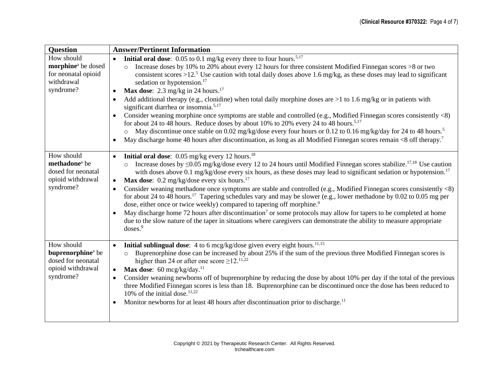| <b>Question</b>                                                                                     | <b>Answer/Pertinent Information</b>                                                                                                                                                                                                                                                                                                                                                                                                                                                                                                                                                                                                                                                                                                                                                                                                                                                                                                                                                                                                                                                                                                                                                       |  |  |
|-----------------------------------------------------------------------------------------------------|-------------------------------------------------------------------------------------------------------------------------------------------------------------------------------------------------------------------------------------------------------------------------------------------------------------------------------------------------------------------------------------------------------------------------------------------------------------------------------------------------------------------------------------------------------------------------------------------------------------------------------------------------------------------------------------------------------------------------------------------------------------------------------------------------------------------------------------------------------------------------------------------------------------------------------------------------------------------------------------------------------------------------------------------------------------------------------------------------------------------------------------------------------------------------------------------|--|--|
| How should<br>morphine <sup>a</sup> be dosed<br>for neonatal opioid<br>withdrawal<br>syndrome?      | <b>Initial oral dose:</b> 0.05 to 0.1 mg/kg every three to four hours. <sup>5,17</sup><br>$\bullet$<br>Increase doses by 10% to 20% about every 12 hours for three consistent Modified Finnegan scores >8 or two<br>$\circ$<br>consistent scores >12. <sup>5</sup> Use caution with total daily doses above 1.6 mg/kg, as these doses may lead to significant<br>sedation or hypotension. <sup>17</sup><br><b>Max dose:</b> 2.3 mg/kg in 24 hours. <sup>17</sup><br>$\bullet$<br>Add additional therapy (e.g., clonidine) when total daily morphine doses are $>1$ to 1.6 mg/kg or in patients with<br>$\bullet$<br>significant diarrhea or insomnia. <sup>5,17</sup><br>Consider weaning morphine once symptoms are stable and controlled (e.g., Modified Finnegan scores consistently <8)<br>$\bullet$<br>for about 24 to 48 hours. Reduce doses by about 10% to 20% every 24 to 48 hours. <sup>5,17</sup><br>May discontinue once stable on 0.02 mg/kg/dose every four hours or 0.12 to 0.16 mg/kg/day for 24 to 48 hours. <sup>5</sup><br>May discharge home 48 hours after discontinuation, as long as all Modified Finnegan scores remain <8 off therapy. <sup>7</sup><br>$\bullet$ |  |  |
| How should<br>methadone <sup>a</sup> be<br>dosed for neonatal<br>opioid withdrawal<br>syndrome?     | <b>Initial oral dose:</b> 0.05 mg/kg every 12 hours. <sup>18</sup><br>$\bullet$<br>Increase doses by $\leq 0.05$ mg/kg/dose every 12 to 24 hours until Modified Finnegan scores stabilize. <sup>17,18</sup> Use caution<br>with doses above 0.1 mg/kg/dose every six hours, as these doses may lead to significant sedation or hypotension. <sup>17</sup><br><b>Max dose:</b> 0.2 mg/kg/dose every six hours. <sup>17</sup><br>$\bullet$<br>Consider weaning methadone once symptoms are stable and controlled (e.g., Modified Finnegan scores consistently <8)<br>$\bullet$<br>for about 24 to 48 hours. <sup>17</sup> Tapering schedules vary and may be slower (e.g., lower methadone by 0.02 to 0.05 mg per<br>dose, either once or twice weekly) compared to tapering off morphine. <sup>9</sup><br>May discharge home 72 hours after discontinuation <sup>7</sup> or some protocols may allow for tapers to be completed at home<br>$\bullet$<br>due to the slow nature of the taper in situations where caregivers can demonstrate the ability to measure appropriate<br>doses. <sup>9</sup>                                                                                       |  |  |
| How should<br>buprenorphine <sup>a</sup> be<br>dosed for neonatal<br>opioid withdrawal<br>syndrome? | Initial sublingual dose: 4 to 6 mcg/kg/dose given every eight hours. <sup>11,15</sup><br>$\bullet$<br>Buprenorphine dose can be increased by about 25% if the sum of the previous three Modified Finnegan scores is<br>$\circ$<br>higher than 24 or after one score $\geq$ 12. <sup>11,22</sup><br>Max dose: $60 \text{~mcg/kg/day}.$ <sup>11</sup><br>$\bullet$<br>Consider weaning newborns off of buprenorphine by reducing the dose by about 10% per day if the total of the previous<br>$\bullet$<br>three Modified Finnegan scores is less than 18. Buprenorphine can be discontinued once the dose has been reduced to<br>10% of the initial dose. $11,22$<br>Monitor newborns for at least 48 hours after discontinuation prior to discharge. <sup>11</sup><br>$\bullet$                                                                                                                                                                                                                                                                                                                                                                                                          |  |  |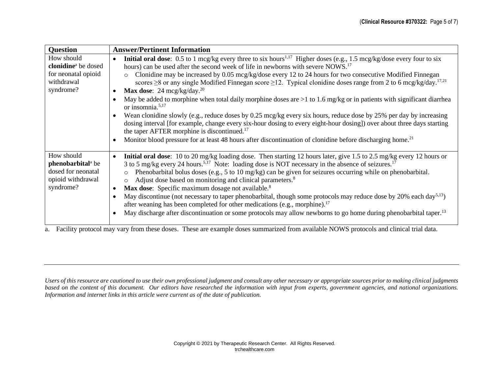| <b>Question</b>                                                                                     | <b>Answer/Pertinent Information</b>                                                                                                                                                                                                                                                                                                                                                                                                                                                                                                                                                                                                                                                                                                                                                                                                                                                                                                                                                                                                                                                                                                                                                                                  |  |  |
|-----------------------------------------------------------------------------------------------------|----------------------------------------------------------------------------------------------------------------------------------------------------------------------------------------------------------------------------------------------------------------------------------------------------------------------------------------------------------------------------------------------------------------------------------------------------------------------------------------------------------------------------------------------------------------------------------------------------------------------------------------------------------------------------------------------------------------------------------------------------------------------------------------------------------------------------------------------------------------------------------------------------------------------------------------------------------------------------------------------------------------------------------------------------------------------------------------------------------------------------------------------------------------------------------------------------------------------|--|--|
| How should<br>clonidine <sup>a</sup> be dosed<br>for neonatal opioid<br>withdrawal<br>syndrome?     | <b>Initial oral dose:</b> 0.5 to 1 mcg/kg every three to six hours <sup>1,17</sup> Higher doses (e.g., 1.5 mcg/kg/dose every four to six<br>$\bullet$<br>hours) can be used after the second week of life in newborns with severe NOWS. <sup>17</sup><br>Clonidine may be increased by 0.05 mcg/kg/dose every 12 to 24 hours for two consecutive Modified Finnegan<br>$\circ$<br>scores $\geq$ 8 or any single Modified Finnegan score $\geq$ 12. Typical clonidine doses range from 2 to 6 mcg/kg/day. <sup>17,21</sup><br><b>Max dose:</b> 24 mcg/kg/day. <sup>20</sup><br>$\bullet$<br>May be added to morphine when total daily morphine doses are $>1$ to 1.6 mg/kg or in patients with significant diarrhea<br>$\bullet$<br>or insomnia. $5,17$<br>Wean clonidine slowly (e.g., reduce doses by 0.25 mcg/kg every six hours, reduce dose by 25% per day by increasing<br>$\bullet$<br>dosing interval [for example, change every six-hour dosing to every eight-hour dosing]) over about three days starting<br>the taper AFTER morphine is discontinued. <sup>17</sup><br>Monitor blood pressure for at least 48 hours after discontinuation of clonidine before discharging home. <sup>21</sup><br>$\bullet$ |  |  |
| How should<br>phenobarbital <sup>a</sup> be<br>dosed for neonatal<br>opioid withdrawal<br>syndrome? | Initial oral dose: 10 to 20 mg/kg loading dose. Then starting 12 hours later, give 1.5 to 2.5 mg/kg every 12 hours or<br>$\bullet$<br>3 to 5 mg/kg every 24 hours. <sup>5,17</sup> Note: loading dose is NOT necessary in the absence of seizures. <sup>17</sup><br>Phenobarbital bolus doses (e.g., 5 to 10 mg/kg) can be given for seizures occurring while on phenobarbital.<br>$\circ$<br>Adjust dose based on monitoring and clinical parameters. <sup>8</sup><br>$\circ$<br>Max dose: Specific maximum dosage not available. <sup>8</sup><br>$\bullet$<br>May discontinue (not necessary to taper phenobarbital, though some protocols may reduce dose by 20% each day <sup>5,13</sup> )<br>$\bullet$<br>after weaning has been completed for other medications (e.g., morphine). <sup>17</sup><br>May discharge after discontinuation or some protocols may allow newborns to go home during phenobarbital taper. <sup>13</sup><br>$\bullet$                                                                                                                                                                                                                                                                  |  |  |

a. Facility protocol may vary from these doses. These are example doses summarized from available NOWS protocols and clinical trial data.

*Users of this resource are cautioned to use their own professional judgment and consult any other necessary or appropriate sources prior to making clinical judgments based on the content of this document. Our editors have researched the information with input from experts, government agencies, and national organizations. Information and internet links in this article were current as of the date of publication.*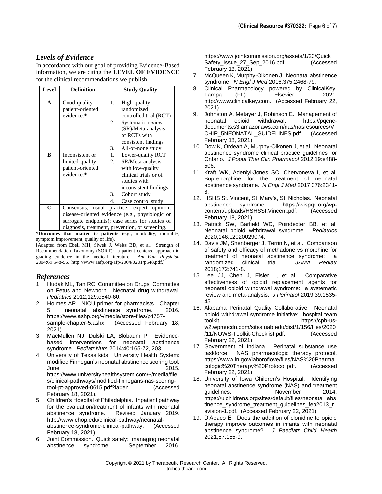## *Levels of Evidence*

In accordance with our goal of providing Evidence-Based information, we are citing the **LEVEL OF EVIDENCE**  for the clinical recommendations we publish.

| <b>Level</b> | <b>Definition</b>                                                                                                                                                                                    | <b>Study Quality</b>                                                                                                                                                                      |  |
|--------------|------------------------------------------------------------------------------------------------------------------------------------------------------------------------------------------------------|-------------------------------------------------------------------------------------------------------------------------------------------------------------------------------------------|--|
| A            | Good-quality<br>patient-oriented<br>evidence.*                                                                                                                                                       | 1.<br>High-quality<br>randomized<br>controlled trial (RCT)                                                                                                                                |  |
|              |                                                                                                                                                                                                      | Systematic review<br>2.<br>(SR)/Meta-analysis<br>of RCTs with                                                                                                                             |  |
|              |                                                                                                                                                                                                      | consistent findings<br>3.<br>All-or-none study                                                                                                                                            |  |
| B            | Inconsistent or<br>limited-quality<br>patient-oriented<br>evidence.*                                                                                                                                 | 1.<br>Lower-quality RCT<br>SR/Meta-analysis<br>2.<br>with low-quality<br>clinical trials or of<br>studies with<br>inconsistent findings<br>Cohort study<br>3.<br>Case control study<br>4. |  |
| C            | Consensus; usual practice; expert opinion;<br>disease-oriented evidence (e.g., physiologic or<br>surrogate endpoints); case series for studies of<br>diagnosis, treatment, prevention, or screening. |                                                                                                                                                                                           |  |

**\*Outcomes that matter to patients** (e.g., morbidity, mortality, symptom improvement, quality of life).

[Adapted from Ebell MH, Siwek J, Weiss BD, et al. Strength of Recommendation Taxonomy (SORT): a patient-centered approach to grading evidence in the medical literature. *Am Fam Physician* 2004;69:548-56. http://www.aafp.org/afp/2004/0201/p548.pdf.]

## *References*

- 1. Hudak ML, Tan RC, Committee on Drugs, Committee on Fetus and Newborn. Neonatal drug withdrawal. *Pediatrics* 2012;129:e540-60.
- 2. Holmes AP. NICU primer for pharmacists. Chapter 5: neonatal abstinence syndrome. 2016. https://www.ashp.org/-/media/store-files/p4757 sample-chapter-5.ashx. (Accessed February 18, 2021).
- 3. MacMullen NJ, Dulski LA, Blobaum P. Evidencebased interventions for neonatal abstinence syndrome. *Pediatr Nurs* 2014;40:165-72, 203.
- 4. University of Texas kids. University Health System: modified Finnegan's neonatal abstinence scoring tool. June 2015. https://www.universityhealthsystem.com/~/media/file s/clinical-pathways/modified-finnegans-nas-scoringtool-pt-approved-0615.pdf?la=en. (Accessed February 18, 2021).
- 5. Children's Hospital of Philadelphia. Inpatient pathway for the evaluation/treatment of infants with neonatal abstinence syndrome. Revised January 2019. http://www.chop.edu/clinical-pathway/neonatalabstinence-syndrome-clinical-pathway. (Accessed February 18, 2021).
- 6. Joint Commission. Quick safety: managing neonatal abstinence syndrome. September 2016.

https://www.jointcommission.org/assets/1/23/Quick\_ Safety\_Issue\_27\_Sep\_2016.pdf. (Accessed February 18, 2021).

- 7. McQueen K, Murphy-Oikonen J. Neonatal abstinence syndrome. *N Engl J Med* 2016;375:2468-79.
- 8. Clinical Pharmacology powered by ClinicalKey. Tampa (FL): Elsevier. 2021. http://www.clinicalkey.com. (Accessed February 22, 2021).
- 9. Johnston A, Metayer J, Robinson E. Management of neonatal opioid withdrawal. https://pqcncdocuments.s3.amazonaws.com/nas/nasresources/V CHIP\_5NEONATAL\_GUIDELINES.pdf. (Accessed February 18, 2021).
- 10. Dow K, Ordean A, Murphy-Oikonen J, et al. Neonatal abstinence syndrome clinical practice guidelines for Ontario. *J Popul Ther Clin Pharmacol* 2012;19:e488- 506.
- 11. Kraft WK, Adeniyi-Jones SC, Chervoneva I, et al. Buprenorphine for the treatment of neonatal abstinence syndrome. *N Engl J Med* 2017;376:2341- 8.
- 12. HSHS St. Vincent, St. Mary's, St. Nicholas. Neonatal abstinence syndrome. content/uploads/HSHSSt.Vincent.pdf. (Accessed February 18, 2021).
- 13. Patrick SW, Barfield WD, Poindexter BB, et al. Neonatal opioid withdrawal syndrome. *Pediatrics* 2020;146:e2020029074.
- 14. Davis JM, Shenberger J, Terrin N, et al. Comparison of safety and efficacy of methadone vs morphine for treatment of neonatal abstinence syndrome: a randomized clinical trial. *JAMA Pediatr* 2018;172:741-8.
- 15. Lee JJ, Chen J, Eisler L, et al. Comparative effectiveness of opioid replacement agents for neonatal opioid withdrawal syndrome: a systematic review and meta-analysis. *J Perinatol* 2019;39:1535- 45.
- 16. Alabama Perinatal Quality Collaborative. Neonatal opioid withdrawal syndrome initiative: hospital team toolkit. https://cpb-usw2.wpmucdn.com/sites.uab.edu/dist/1/156/files/2020 /11/NOWS-Toolkit-Checklist.pdf. (Accessed February 22, 2021).
- 17. Government of Indiana. Perinatal substance use taskforce. NAS pharmacologic therapy protocol. https://www.in.gov/laboroflove/files/NAS%20Pharma cologic%20Therapy%20Protocol.pdf. (Accessed February 22, 2021).
- 18. University of Iowa Children's Hospital. Identifying neonatal abstinence syndrome (NAS) and treatment guidelines. November 2014. https://uichildrens.org/sites/default/files/neonatal\_abs tinence\_syndrome\_treatment\_guidelines\_feb2013\_r evision-1.pdf. (Accessed February 22, 2021).
- 19. D'Abaco E. Does the addition of clonidine to opioid therapy improve outcomes in infants with neonatal abstinence syndrome? *J Paediatr Child Health* 2021;57:155-9.